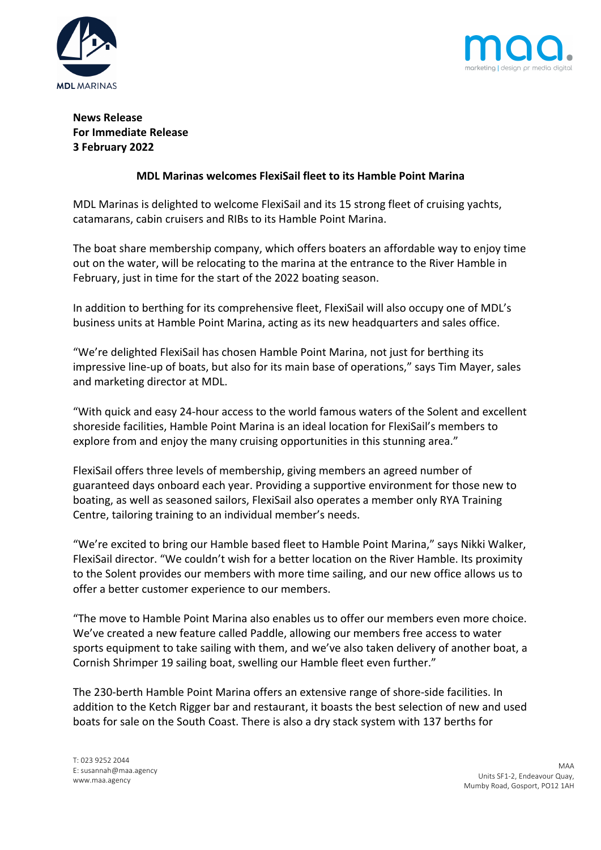



# **News Release For Immediate Release 3 February 2022**

# **MDL Marinas welcomes FlexiSail fleet to its Hamble Point Marina**

MDL Marinas is delighted to welcome FlexiSail and its 15 strong fleet of cruising yachts, catamarans, cabin cruisers and RIBs to its Hamble Point Marina.

The boat share membership company, which offers boaters an affordable way to enjoy time out on the water, will be relocating to the marina at the entrance to the River Hamble in February, just in time for the start of the 2022 boating season.

In addition to berthing for its comprehensive fleet, FlexiSail will also occupy one of MDL's business units at Hamble Point Marina, acting as its new headquarters and sales office.

"We're delighted FlexiSail has chosen Hamble Point Marina, not just for berthing its impressive line-up of boats, but also for its main base of operations," says Tim Mayer, sales and marketing director at MDL.

"With quick and easy 24-hour access to the world famous waters of the Solent and excellent shoreside facilities, Hamble Point Marina is an ideal location for FlexiSail's members to explore from and enjoy the many cruising opportunities in this stunning area."

FlexiSail offers three levels of membership, giving members an agreed number of guaranteed days onboard each year. Providing a supportive environment for those new to boating, as well as seasoned sailors, FlexiSail also operates a member only RYA Training Centre, tailoring training to an individual member's needs.

"We're excited to bring our Hamble based fleet to Hamble Point Marina," says Nikki Walker, FlexiSail director. "We couldn't wish for a better location on the River Hamble. Its proximity to the Solent provides our members with more time sailing, and our new office allows us to offer a better customer experience to our members.

"The move to Hamble Point Marina also enables us to offer our members even more choice. We've created a new feature called Paddle, allowing our members free access to water sports equipment to take sailing with them, and we've also taken delivery of another boat, a Cornish Shrimper 19 sailing boat, swelling our Hamble fleet even further."

The 230-berth Hamble Point Marina offers an extensive range of shore-side facilities. In addition to the Ketch Rigger bar and restaurant, it boasts the best selection of new and used boats for sale on the South Coast. There is also a dry stack system with 137 berths for